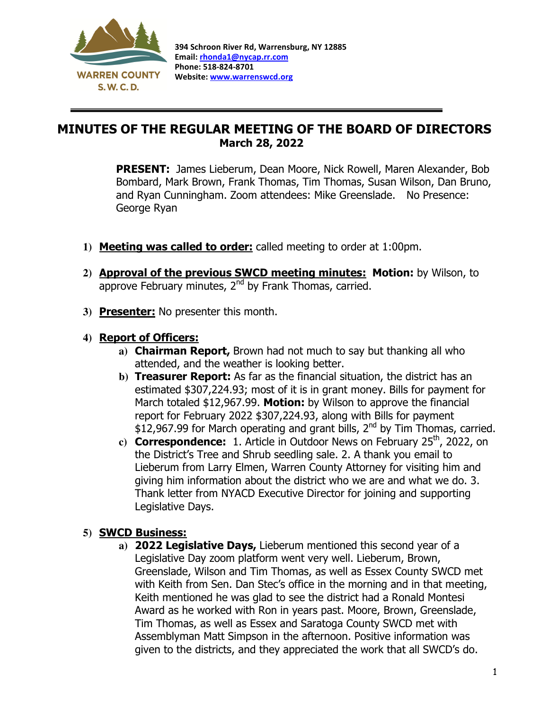

 $\overline{a}$ 

## MINUTES OF THE REGULAR MEETING OF THE BOARD OF DIRECTORS March 28, 2022

PRESENT: James Lieberum, Dean Moore, Nick Rowell, Maren Alexander, Bob Bombard, Mark Brown, Frank Thomas, Tim Thomas, Susan Wilson, Dan Bruno, and Ryan Cunningham. Zoom attendees: Mike Greenslade. No Presence: George Ryan

- **1)** Meeting was called to order: called meeting to order at 1:00pm.
- **2)** Approval of the previous SWCD meeting minutes: Motion: by Wilson, to approve February minutes, 2<sup>nd</sup> by Frank Thomas, carried.
- **3)** Presenter: No presenter this month.

## **4)** Report of Officers:

- **a)** Chairman Report, Brown had not much to say but thanking all who attended, and the weather is looking better.
- **b)** Treasurer Report: As far as the financial situation, the district has an estimated \$307,224.93; most of it is in grant money. Bills for payment for March totaled \$12,967.99. Motion: by Wilson to approve the financial report for February 2022 \$307,224.93, along with Bills for payment \$12,967.99 for March operating and grant bills,  $2^{nd}$  by Tim Thomas, carried.
- c) **Correspondence:** 1. Article in Outdoor News on February 25<sup>th</sup>, 2022, on the District's Tree and Shrub seedling sale. 2. A thank you email to Lieberum from Larry Elmen, Warren County Attorney for visiting him and giving him information about the district who we are and what we do. 3. Thank letter from NYACD Executive Director for joining and supporting Legislative Days.

## **5)** SWCD Business:

**a)** 2022 Legislative Days, Lieberum mentioned this second year of a Legislative Day zoom platform went very well. Lieberum, Brown, Greenslade, Wilson and Tim Thomas, as well as Essex County SWCD met with Keith from Sen. Dan Stec's office in the morning and in that meeting, Keith mentioned he was glad to see the district had a Ronald Montesi Award as he worked with Ron in years past. Moore, Brown, Greenslade, Tim Thomas, as well as Essex and Saratoga County SWCD met with Assemblyman Matt Simpson in the afternoon. Positive information was given to the districts, and they appreciated the work that all SWCD's do.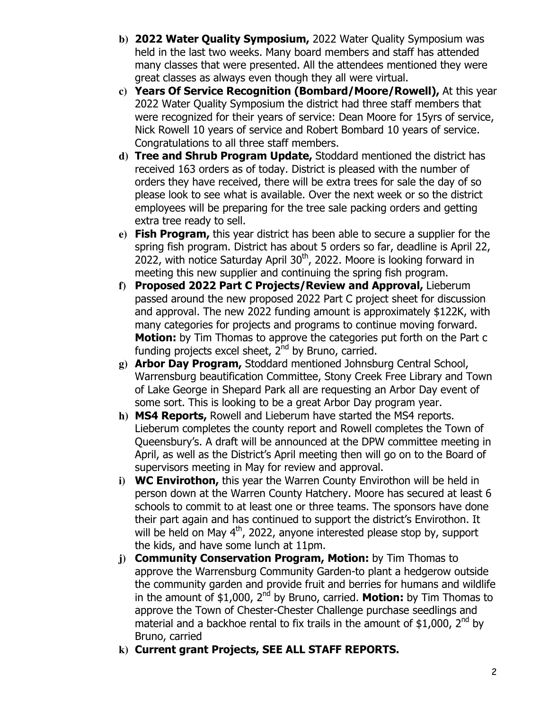- **b)** 2022 Water Quality Symposium, 2022 Water Quality Symposium was held in the last two weeks. Many board members and staff has attended many classes that were presented. All the attendees mentioned they were great classes as always even though they all were virtual.
- **c)** Years Of Service Recognition (Bombard/Moore/Rowell), At this year 2022 Water Quality Symposium the district had three staff members that were recognized for their years of service: Dean Moore for 15yrs of service, Nick Rowell 10 years of service and Robert Bombard 10 years of service. Congratulations to all three staff members.
- **d)** Tree and Shrub Program Update, Stoddard mentioned the district has received 163 orders as of today. District is pleased with the number of orders they have received, there will be extra trees for sale the day of so please look to see what is available. Over the next week or so the district employees will be preparing for the tree sale packing orders and getting extra tree ready to sell.
- **e)** Fish Program, this year district has been able to secure a supplier for the spring fish program. District has about 5 orders so far, deadline is April 22, 2022, with notice Saturday April 30<sup>th</sup>, 2022. Moore is looking forward in meeting this new supplier and continuing the spring fish program.
- **f)** Proposed 2022 Part C Projects/Review and Approval, Lieberum passed around the new proposed 2022 Part C project sheet for discussion and approval. The new 2022 funding amount is approximately \$122K, with many categories for projects and programs to continue moving forward. **Motion:** by Tim Thomas to approve the categories put forth on the Part c funding projects excel sheet,  $2^{nd}$  by Bruno, carried.
- **g)** Arbor Day Program, Stoddard mentioned Johnsburg Central School, Warrensburg beautification Committee, Stony Creek Free Library and Town of Lake George in Shepard Park all are requesting an Arbor Day event of some sort. This is looking to be a great Arbor Day program year.
- **h)** MS4 Reports, Rowell and Lieberum have started the MS4 reports. Lieberum completes the county report and Rowell completes the Town of Queensbury's. A draft will be announced at the DPW committee meeting in April, as well as the District's April meeting then will go on to the Board of supervisors meeting in May for review and approval.
- **i)** WC Envirothon, this year the Warren County Envirothon will be held in person down at the Warren County Hatchery. Moore has secured at least 6 schools to commit to at least one or three teams. The sponsors have done their part again and has continued to support the district's Envirothon. It will be held on May 4<sup>th</sup>, 2022, anyone interested please stop by, support the kids, and have some lunch at 11pm.
- **j)** Community Conservation Program, Motion: by Tim Thomas to approve the Warrensburg Community Garden-to plant a hedgerow outside the community garden and provide fruit and berries for humans and wildlife in the amount of \$1,000,  $2<sup>nd</sup>$  by Bruno, carried. **Motion:** by Tim Thomas to approve the Town of Chester-Chester Challenge purchase seedlings and material and a backhoe rental to fix trails in the amount of \$1,000,  $2^{nd}$  by Bruno, carried
- **k)** Current grant Projects, SEE ALL STAFF REPORTS.